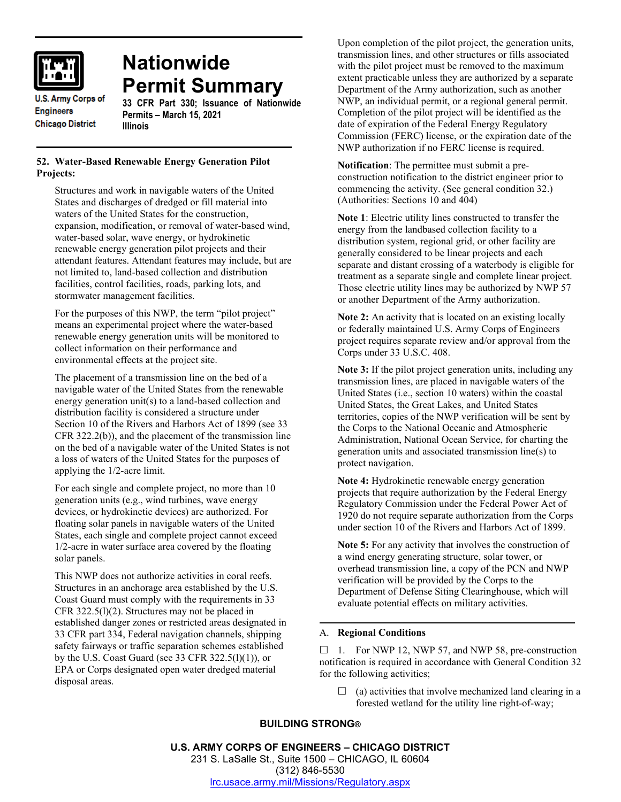

**Nationwide Permit Summary**

**U.S. Army Corps of Engineers Chicago District** 

# **33 CFR Part 330; Issuance of Nationwide Permits – March 15, 2021**

## **52. Water-Based Renewable Energy Generation Pilot Projects:**

**Illinois**

Structures and work in navigable waters of the United States and discharges of dredged or fill material into waters of the United States for the construction, expansion, modification, or removal of water-based wind, water-based solar, wave energy, or hydrokinetic renewable energy generation pilot projects and their attendant features. Attendant features may include, but are not limited to, land-based collection and distribution facilities, control facilities, roads, parking lots, and stormwater management facilities.

For the purposes of this NWP, the term "pilot project" means an experimental project where the water-based renewable energy generation units will be monitored to collect information on their performance and environmental effects at the project site.

The placement of a transmission line on the bed of a navigable water of the United States from the renewable energy generation unit(s) to a land-based collection and distribution facility is considered a structure under Section 10 of the Rivers and Harbors Act of 1899 (see 33 CFR 322.2(b)), and the placement of the transmission line on the bed of a navigable water of the United States is not a loss of waters of the United States for the purposes of applying the 1/2-acre limit.

For each single and complete project, no more than 10 generation units (e.g., wind turbines, wave energy devices, or hydrokinetic devices) are authorized. For floating solar panels in navigable waters of the United States, each single and complete project cannot exceed 1/2-acre in water surface area covered by the floating solar panels.

This NWP does not authorize activities in coral reefs. Structures in an anchorage area established by the U.S. Coast Guard must comply with the requirements in 33 CFR 322.5(l)(2). Structures may not be placed in established danger zones or restricted areas designated in 33 CFR part 334, Federal navigation channels, shipping safety fairways or traffic separation schemes established by the U.S. Coast Guard (see 33 CFR  $322.5(1)(1)$ ), or EPA or Corps designated open water dredged material disposal areas.

Upon completion of the pilot project, the generation units, transmission lines, and other structures or fills associated with the pilot project must be removed to the maximum extent practicable unless they are authorized by a separate Department of the Army authorization, such as another NWP, an individual permit, or a regional general permit. Completion of the pilot project will be identified as the date of expiration of the Federal Energy Regulatory Commission (FERC) license, or the expiration date of the NWP authorization if no FERC license is required.

**Notification**: The permittee must submit a preconstruction notification to the district engineer prior to commencing the activity. (See general condition 32.) (Authorities: Sections 10 and 404)

**Note 1**: Electric utility lines constructed to transfer the energy from the landbased collection facility to a distribution system, regional grid, or other facility are generally considered to be linear projects and each separate and distant crossing of a waterbody is eligible for treatment as a separate single and complete linear project. Those electric utility lines may be authorized by NWP 57 or another Department of the Army authorization.

**Note 2:** An activity that is located on an existing locally or federally maintained U.S. Army Corps of Engineers project requires separate review and/or approval from the Corps under 33 U.S.C. 408.

**Note 3:** If the pilot project generation units, including any transmission lines, are placed in navigable waters of the United States (i.e., section 10 waters) within the coastal United States, the Great Lakes, and United States territories, copies of the NWP verification will be sent by the Corps to the National Oceanic and Atmospheric Administration, National Ocean Service, for charting the generation units and associated transmission line(s) to protect navigation.

**Note 4:** Hydrokinetic renewable energy generation projects that require authorization by the Federal Energy Regulatory Commission under the Federal Power Act of 1920 do not require separate authorization from the Corps under section 10 of the Rivers and Harbors Act of 1899.

**Note 5:** For any activity that involves the construction of a wind energy generating structure, solar tower, or overhead transmission line, a copy of the PCN and NWP verification will be provided by the Corps to the Department of Defense Siting Clearinghouse, which will evaluate potential effects on military activities.

## A. **Regional Conditions**

 $\Box$  1. For NWP 12, NWP 57, and NWP 58, pre-construction notification is required in accordance with General Condition 32 for the following activities;

 $\Box$  (a) activities that involve mechanized land clearing in a forested wetland for the utility line right-of-way;

## **BUILDING STRONG®**

**U.S. ARMY CORPS OF ENGINEERS – CHICAGO DISTRICT** 231 S. LaSalle St., Suite 1500 – CHICAGO, IL 60604 (312) 846-5530 [lrc.usace.army.mil/Missions/Regulatory.aspx](https://www.lrc.usace.army.mil/Missions/Regulatory.aspx)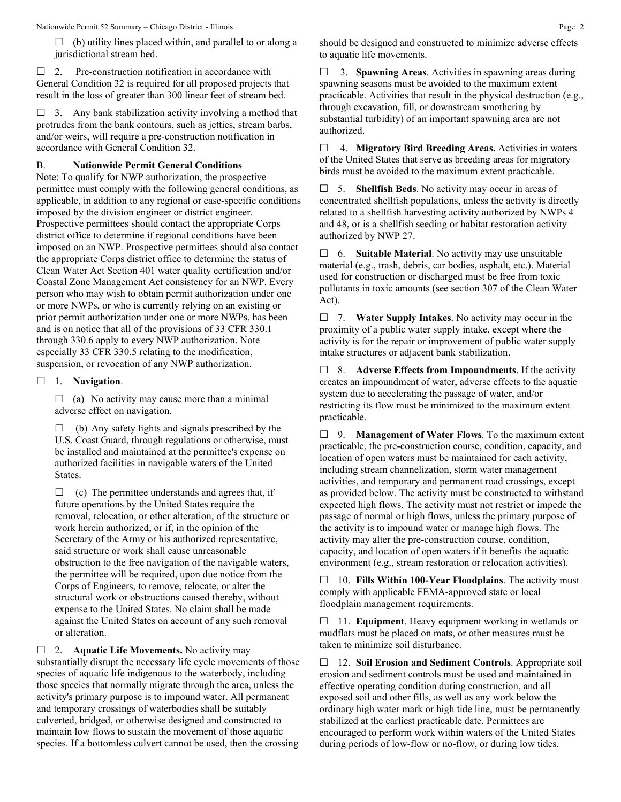$\Box$  (b) utility lines placed within, and parallel to or along a jurisdictional stream bed.

 $\Box$  2. Pre-construction notification in accordance with General Condition 32 is required for all proposed projects that result in the loss of greater than 300 linear feet of stream bed.

 $\Box$  3. Any bank stabilization activity involving a method that protrudes from the bank contours, such as jetties, stream barbs, and/or weirs, will require a pre-construction notification in accordance with General Condition 32.

#### B. **Nationwide Permit General Conditions**

Note: To qualify for NWP authorization, the prospective permittee must comply with the following general conditions, as applicable, in addition to any regional or case-specific conditions imposed by the division engineer or district engineer. Prospective permittees should contact the appropriate Corps district office to determine if regional conditions have been imposed on an NWP. Prospective permittees should also contact the appropriate Corps district office to determine the status of Clean Water Act Section 401 water quality certification and/or Coastal Zone Management Act consistency for an NWP. Every person who may wish to obtain permit authorization under one or more NWPs, or who is currently relying on an existing or prior permit authorization under one or more NWPs, has been and is on notice that all of the provisions of 33 CFR 330.1 through 330.6 apply to every NWP authorization. Note especially 33 CFR 330.5 relating to the modification, suspension, or revocation of any NWP authorization.

#### 1. **Navigation**.

 $\Box$  (a) No activity may cause more than a minimal adverse effect on navigation.

 $\Box$  (b) Any safety lights and signals prescribed by the U.S. Coast Guard, through regulations or otherwise, must be installed and maintained at the permittee's expense on authorized facilities in navigable waters of the United States.

 $\Box$  (c) The permittee understands and agrees that, if future operations by the United States require the removal, relocation, or other alteration, of the structure or work herein authorized, or if, in the opinion of the Secretary of the Army or his authorized representative, said structure or work shall cause unreasonable obstruction to the free navigation of the navigable waters, the permittee will be required, upon due notice from the Corps of Engineers, to remove, relocate, or alter the structural work or obstructions caused thereby, without expense to the United States. No claim shall be made against the United States on account of any such removal or alteration.

□ 2. **Aquatic Life Movements.** No activity may substantially disrupt the necessary life cycle movements of those species of aquatic life indigenous to the waterbody, including those species that normally migrate through the area, unless the activity's primary purpose is to impound water. All permanent and temporary crossings of waterbodies shall be suitably culverted, bridged, or otherwise designed and constructed to maintain low flows to sustain the movement of those aquatic species. If a bottomless culvert cannot be used, then the crossing

should be designed and constructed to minimize adverse effects to aquatic life movements.

 3. **Spawning Areas**. Activities in spawning areas during spawning seasons must be avoided to the maximum extent practicable. Activities that result in the physical destruction (e.g., through excavation, fill, or downstream smothering by substantial turbidity) of an important spawning area are not authorized.

 4. **Migratory Bird Breeding Areas.** Activities in waters of the United States that serve as breeding areas for migratory birds must be avoided to the maximum extent practicable.

 5. **Shellfish Beds**. No activity may occur in areas of concentrated shellfish populations, unless the activity is directly related to a shellfish harvesting activity authorized by NWPs 4 and 48, or is a shellfish seeding or habitat restoration activity authorized by NWP 27.

 6. **Suitable Material**. No activity may use unsuitable material (e.g., trash, debris, car bodies, asphalt, etc.). Material used for construction or discharged must be free from toxic pollutants in toxic amounts (see section 307 of the Clean Water Act).

 7. **Water Supply Intakes**. No activity may occur in the proximity of a public water supply intake, except where the activity is for the repair or improvement of public water supply intake structures or adjacent bank stabilization.

 8. **Adverse Effects from Impoundments**. If the activity creates an impoundment of water, adverse effects to the aquatic system due to accelerating the passage of water, and/or restricting its flow must be minimized to the maximum extent practicable.

 9. **Management of Water Flows**. To the maximum extent practicable, the pre-construction course, condition, capacity, and location of open waters must be maintained for each activity, including stream channelization, storm water management activities, and temporary and permanent road crossings, except as provided below. The activity must be constructed to withstand expected high flows. The activity must not restrict or impede the passage of normal or high flows, unless the primary purpose of the activity is to impound water or manage high flows. The activity may alter the pre-construction course, condition, capacity, and location of open waters if it benefits the aquatic environment (e.g., stream restoration or relocation activities).

 10. **Fills Within 100-Year Floodplains**. The activity must comply with applicable FEMA-approved state or local floodplain management requirements.

□ 11. **Equipment**. Heavy equipment working in wetlands or mudflats must be placed on mats, or other measures must be taken to minimize soil disturbance.

 12. **Soil Erosion and Sediment Controls**. Appropriate soil erosion and sediment controls must be used and maintained in effective operating condition during construction, and all exposed soil and other fills, as well as any work below the ordinary high water mark or high tide line, must be permanently stabilized at the earliest practicable date. Permittees are encouraged to perform work within waters of the United States during periods of low-flow or no-flow, or during low tides.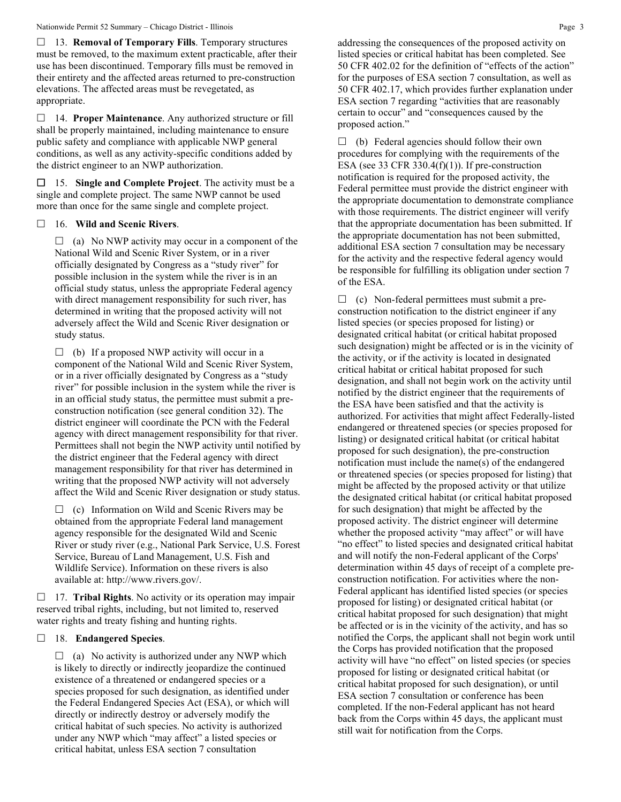13. **Removal of Temporary Fills**. Temporary structures must be removed, to the maximum extent practicable, after their use has been discontinued. Temporary fills must be removed in their entirety and the affected areas returned to pre-construction elevations. The affected areas must be revegetated, as appropriate.

 14. **Proper Maintenance**. Any authorized structure or fill shall be properly maintained, including maintenance to ensure public safety and compliance with applicable NWP general conditions, as well as any activity-specific conditions added by the district engineer to an NWP authorization.

 15. **Single and Complete Project**. The activity must be a single and complete project. The same NWP cannot be used more than once for the same single and complete project.

#### 16. **Wild and Scenic Rivers**.

 $\Box$  (a) No NWP activity may occur in a component of the National Wild and Scenic River System, or in a river officially designated by Congress as a "study river" for possible inclusion in the system while the river is in an official study status, unless the appropriate Federal agency with direct management responsibility for such river, has determined in writing that the proposed activity will not adversely affect the Wild and Scenic River designation or study status.

 $\Box$  (b) If a proposed NWP activity will occur in a component of the National Wild and Scenic River System, or in a river officially designated by Congress as a "study river" for possible inclusion in the system while the river is in an official study status, the permittee must submit a preconstruction notification (see general condition 32). The district engineer will coordinate the PCN with the Federal agency with direct management responsibility for that river. Permittees shall not begin the NWP activity until notified by the district engineer that the Federal agency with direct management responsibility for that river has determined in writing that the proposed NWP activity will not adversely affect the Wild and Scenic River designation or study status.

 $\Box$  (c) Information on Wild and Scenic Rivers may be obtained from the appropriate Federal land management agency responsible for the designated Wild and Scenic River or study river (e.g., National Park Service, U.S. Forest Service, Bureau of Land Management, U.S. Fish and Wildlife Service). Information on these rivers is also available at: http://www.rivers.gov/.

 17. **Tribal Rights**. No activity or its operation may impair reserved tribal rights, including, but not limited to, reserved water rights and treaty fishing and hunting rights.

## 18. **Endangered Species**.

 $\Box$  (a) No activity is authorized under any NWP which is likely to directly or indirectly jeopardize the continued existence of a threatened or endangered species or a species proposed for such designation, as identified under the Federal Endangered Species Act (ESA), or which will directly or indirectly destroy or adversely modify the critical habitat of such species. No activity is authorized under any NWP which "may affect" a listed species or critical habitat, unless ESA section 7 consultation

addressing the consequences of the proposed activity on listed species or critical habitat has been completed. See 50 CFR 402.02 for the definition of "effects of the action" for the purposes of ESA section 7 consultation, as well as 50 CFR 402.17, which provides further explanation under ESA section 7 regarding "activities that are reasonably certain to occur" and "consequences caused by the proposed action."

 $\Box$  (b) Federal agencies should follow their own procedures for complying with the requirements of the ESA (see 33 CFR 330.4 $(f)(1)$ ). If pre-construction notification is required for the proposed activity, the Federal permittee must provide the district engineer with the appropriate documentation to demonstrate compliance with those requirements. The district engineer will verify that the appropriate documentation has been submitted. If the appropriate documentation has not been submitted, additional ESA section 7 consultation may be necessary for the activity and the respective federal agency would be responsible for fulfilling its obligation under section 7 of the ESA.

 $\Box$  (c) Non-federal permittees must submit a preconstruction notification to the district engineer if any listed species (or species proposed for listing) or designated critical habitat (or critical habitat proposed such designation) might be affected or is in the vicinity of the activity, or if the activity is located in designated critical habitat or critical habitat proposed for such designation, and shall not begin work on the activity until notified by the district engineer that the requirements of the ESA have been satisfied and that the activity is authorized. For activities that might affect Federally-listed endangered or threatened species (or species proposed for listing) or designated critical habitat (or critical habitat proposed for such designation), the pre-construction notification must include the name(s) of the endangered or threatened species (or species proposed for listing) that might be affected by the proposed activity or that utilize the designated critical habitat (or critical habitat proposed for such designation) that might be affected by the proposed activity. The district engineer will determine whether the proposed activity "may affect" or will have "no effect" to listed species and designated critical habitat and will notify the non-Federal applicant of the Corps' determination within 45 days of receipt of a complete preconstruction notification. For activities where the non-Federal applicant has identified listed species (or species proposed for listing) or designated critical habitat (or critical habitat proposed for such designation) that might be affected or is in the vicinity of the activity, and has so notified the Corps, the applicant shall not begin work until the Corps has provided notification that the proposed activity will have "no effect" on listed species (or species proposed for listing or designated critical habitat (or critical habitat proposed for such designation), or until ESA section 7 consultation or conference has been completed. If the non-Federal applicant has not heard back from the Corps within 45 days, the applicant must still wait for notification from the Corps.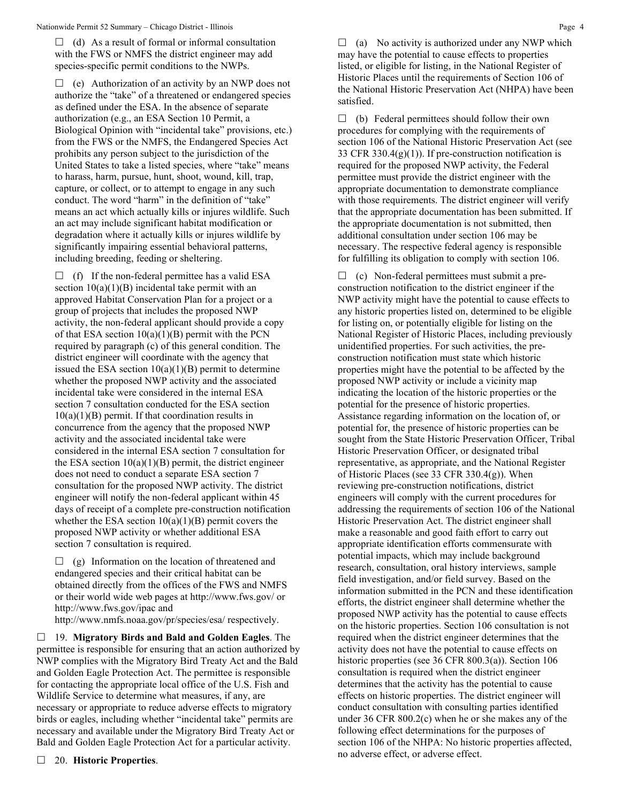$\Box$  (d) As a result of formal or informal consultation with the FWS or NMFS the district engineer may add species-specific permit conditions to the NWPs.

 $\Box$  (e) Authorization of an activity by an NWP does not authorize the "take" of a threatened or endangered species as defined under the ESA. In the absence of separate authorization (e.g., an ESA Section 10 Permit, a Biological Opinion with "incidental take" provisions, etc.) from the FWS or the NMFS, the Endangered Species Act prohibits any person subject to the jurisdiction of the United States to take a listed species, where "take" means to harass, harm, pursue, hunt, shoot, wound, kill, trap, capture, or collect, or to attempt to engage in any such conduct. The word "harm" in the definition of "take" means an act which actually kills or injures wildlife. Such an act may include significant habitat modification or degradation where it actually kills or injures wildlife by significantly impairing essential behavioral patterns, including breeding, feeding or sheltering.

 $\Box$  (f) If the non-federal permittee has a valid ESA section  $10(a)(1)(B)$  incidental take permit with an approved Habitat Conservation Plan for a project or a group of projects that includes the proposed NWP activity, the non-federal applicant should provide a copy of that ESA section  $10(a)(1)(B)$  permit with the PCN required by paragraph (c) of this general condition. The district engineer will coordinate with the agency that issued the ESA section  $10(a)(1)(B)$  permit to determine whether the proposed NWP activity and the associated incidental take were considered in the internal ESA section 7 consultation conducted for the ESA section  $10(a)(1)(B)$  permit. If that coordination results in concurrence from the agency that the proposed NWP activity and the associated incidental take were considered in the internal ESA section 7 consultation for the ESA section  $10(a)(1)(B)$  permit, the district engineer does not need to conduct a separate ESA section 7 consultation for the proposed NWP activity. The district engineer will notify the non-federal applicant within 45 days of receipt of a complete pre-construction notification whether the ESA section  $10(a)(1)(B)$  permit covers the proposed NWP activity or whether additional ESA section 7 consultation is required.

 $\Box$  (g) Information on the location of threatened and endangered species and their critical habitat can be obtained directly from the offices of the FWS and NMFS or their world wide web pages at http://www.fws.gov/ or http://www.fws.gov/ipac and

http://www.nmfs.noaa.gov/pr/species/esa/ respectively.

 19. **Migratory Birds and Bald and Golden Eagles**. The permittee is responsible for ensuring that an action authorized by NWP complies with the Migratory Bird Treaty Act and the Bald and Golden Eagle Protection Act. The permittee is responsible for contacting the appropriate local office of the U.S. Fish and Wildlife Service to determine what measures, if any, are necessary or appropriate to reduce adverse effects to migratory birds or eagles, including whether "incidental take" permits are necessary and available under the Migratory Bird Treaty Act or Bald and Golden Eagle Protection Act for a particular activity.

 $\Box$  (b) Federal permittees should follow their own procedures for complying with the requirements of section 106 of the National Historic Preservation Act (see 33 CFR 330.4 $(g)(1)$ ). If pre-construction notification is required for the proposed NWP activity, the Federal permittee must provide the district engineer with the appropriate documentation to demonstrate compliance with those requirements. The district engineer will verify that the appropriate documentation has been submitted. If the appropriate documentation is not submitted, then additional consultation under section 106 may be necessary. The respective federal agency is responsible for fulfilling its obligation to comply with section 106.

 $\Box$  (c) Non-federal permittees must submit a preconstruction notification to the district engineer if the NWP activity might have the potential to cause effects to any historic properties listed on, determined to be eligible for listing on, or potentially eligible for listing on the National Register of Historic Places, including previously unidentified properties. For such activities, the preconstruction notification must state which historic properties might have the potential to be affected by the proposed NWP activity or include a vicinity map indicating the location of the historic properties or the potential for the presence of historic properties. Assistance regarding information on the location of, or potential for, the presence of historic properties can be sought from the State Historic Preservation Officer, Tribal Historic Preservation Officer, or designated tribal representative, as appropriate, and the National Register of Historic Places (see 33 CFR 330.4(g)). When reviewing pre-construction notifications, district engineers will comply with the current procedures for addressing the requirements of section 106 of the National Historic Preservation Act. The district engineer shall make a reasonable and good faith effort to carry out appropriate identification efforts commensurate with potential impacts, which may include background research, consultation, oral history interviews, sample field investigation, and/or field survey. Based on the information submitted in the PCN and these identification efforts, the district engineer shall determine whether the proposed NWP activity has the potential to cause effects on the historic properties. Section 106 consultation is not required when the district engineer determines that the activity does not have the potential to cause effects on historic properties (see 36 CFR 800.3(a)). Section 106 consultation is required when the district engineer determines that the activity has the potential to cause effects on historic properties. The district engineer will conduct consultation with consulting parties identified under 36 CFR 800.2(c) when he or she makes any of the following effect determinations for the purposes of section 106 of the NHPA: No historic properties affected, no adverse effect, or adverse effect.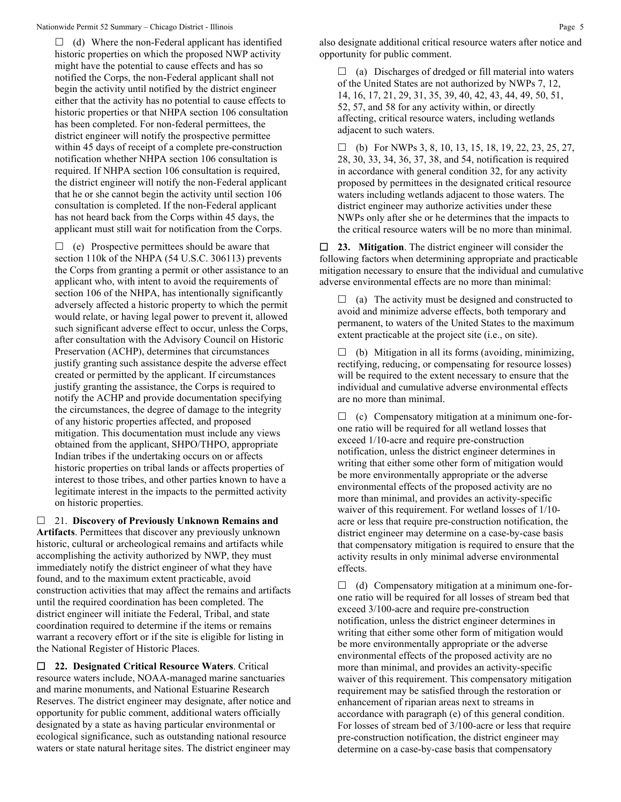$\Box$  (d) Where the non-Federal applicant has identified historic properties on which the proposed NWP activity might have the potential to cause effects and has so notified the Corps, the non-Federal applicant shall not begin the activity until notified by the district engineer either that the activity has no potential to cause effects to historic properties or that NHPA section 106 consultation has been completed. For non-federal permittees, the district engineer will notify the prospective permittee within 45 days of receipt of a complete pre-construction notification whether NHPA section 106 consultation is required. If NHPA section 106 consultation is required, the district engineer will notify the non-Federal applicant that he or she cannot begin the activity until section 106 consultation is completed. If the non-Federal applicant has not heard back from the Corps within 45 days, the applicant must still wait for notification from the Corps.

 $\Box$  (e) Prospective permittees should be aware that section 110k of the NHPA (54 U.S.C. 306113) prevents the Corps from granting a permit or other assistance to an applicant who, with intent to avoid the requirements of section 106 of the NHPA, has intentionally significantly adversely affected a historic property to which the permit would relate, or having legal power to prevent it, allowed such significant adverse effect to occur, unless the Corps, after consultation with the Advisory Council on Historic Preservation (ACHP), determines that circumstances justify granting such assistance despite the adverse effect created or permitted by the applicant. If circumstances justify granting the assistance, the Corps is required to notify the ACHP and provide documentation specifying the circumstances, the degree of damage to the integrity of any historic properties affected, and proposed mitigation. This documentation must include any views obtained from the applicant, SHPO/THPO, appropriate Indian tribes if the undertaking occurs on or affects historic properties on tribal lands or affects properties of interest to those tribes, and other parties known to have a legitimate interest in the impacts to the permitted activity on historic properties.

 21. **Discovery of Previously Unknown Remains and Artifacts**. Permittees that discover any previously unknown historic, cultural or archeological remains and artifacts while accomplishing the activity authorized by NWP, they must immediately notify the district engineer of what they have found, and to the maximum extent practicable, avoid construction activities that may affect the remains and artifacts until the required coordination has been completed. The district engineer will initiate the Federal, Tribal, and state coordination required to determine if the items or remains warrant a recovery effort or if the site is eligible for listing in the National Register of Historic Places.

 **22. Designated Critical Resource Waters**. Critical resource waters include, NOAA-managed marine sanctuaries and marine monuments, and National Estuarine Research Reserves. The district engineer may designate, after notice and opportunity for public comment, additional waters officially designated by a state as having particular environmental or ecological significance, such as outstanding national resource waters or state natural heritage sites. The district engineer may

 $\Box$  (a) Discharges of dredged or fill material into waters of the United States are not authorized by NWPs 7, 12, 14, 16, 17, 21, 29, 31, 35, 39, 40, 42, 43, 44, 49, 50, 51, 52, 57, and 58 for any activity within, or directly affecting, critical resource waters, including wetlands adjacent to such waters.

 $\Box$  (b) For NWPs 3, 8, 10, 13, 15, 18, 19, 22, 23, 25, 27, 28, 30, 33, 34, 36, 37, 38, and 54, notification is required in accordance with general condition 32, for any activity proposed by permittees in the designated critical resource waters including wetlands adjacent to those waters. The district engineer may authorize activities under these NWPs only after she or he determines that the impacts to the critical resource waters will be no more than minimal.

 **23. Mitigation**. The district engineer will consider the following factors when determining appropriate and practicable mitigation necessary to ensure that the individual and cumulative adverse environmental effects are no more than minimal:

 $\Box$  (a) The activity must be designed and constructed to avoid and minimize adverse effects, both temporary and permanent, to waters of the United States to the maximum extent practicable at the project site (i.e., on site).

 $\Box$  (b) Mitigation in all its forms (avoiding, minimizing, rectifying, reducing, or compensating for resource losses) will be required to the extent necessary to ensure that the individual and cumulative adverse environmental effects are no more than minimal.

 $\Box$  (c) Compensatory mitigation at a minimum one-forone ratio will be required for all wetland losses that exceed 1/10-acre and require pre-construction notification, unless the district engineer determines in writing that either some other form of mitigation would be more environmentally appropriate or the adverse environmental effects of the proposed activity are no more than minimal, and provides an activity-specific waiver of this requirement. For wetland losses of 1/10 acre or less that require pre-construction notification, the district engineer may determine on a case-by-case basis that compensatory mitigation is required to ensure that the activity results in only minimal adverse environmental effects.

 $\Box$  (d) Compensatory mitigation at a minimum one-forone ratio will be required for all losses of stream bed that exceed 3/100-acre and require pre-construction notification, unless the district engineer determines in writing that either some other form of mitigation would be more environmentally appropriate or the adverse environmental effects of the proposed activity are no more than minimal, and provides an activity-specific waiver of this requirement. This compensatory mitigation requirement may be satisfied through the restoration or enhancement of riparian areas next to streams in accordance with paragraph (e) of this general condition. For losses of stream bed of 3/100-acre or less that require pre-construction notification, the district engineer may determine on a case-by-case basis that compensatory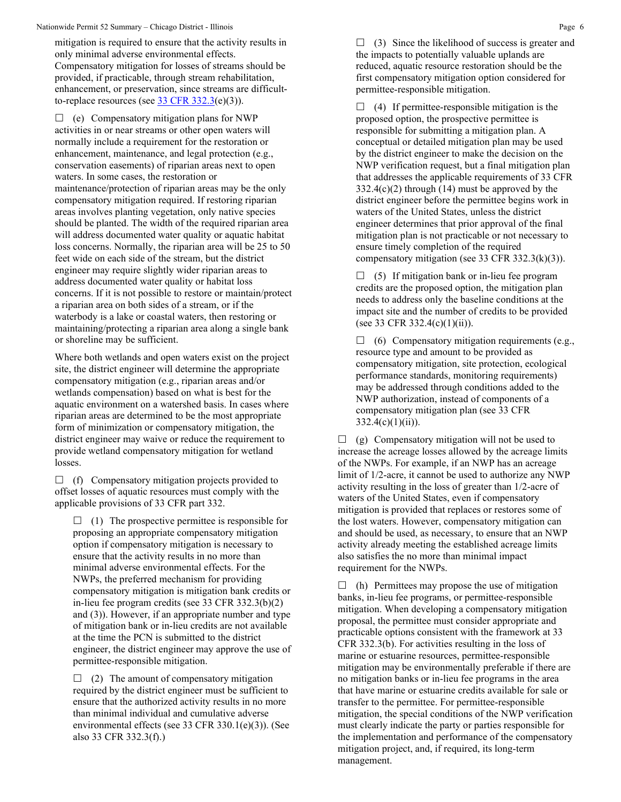mitigation is required to ensure that the activity results in only minimal adverse environmental effects. Compensatory mitigation for losses of streams should be provided, if practicable, through stream rehabilitation, enhancement, or preservation, since streams are difficultto-replace resources (see  $\frac{33 \text{ CFR } 332.3(e)(3)}{25.25(e)(3)}$ .

 $\Box$  (e) Compensatory mitigation plans for NWP activities in or near streams or other open waters will normally include a requirement for the restoration or enhancement, maintenance, and legal protection (e.g., conservation easements) of riparian areas next to open waters. In some cases, the restoration or maintenance/protection of riparian areas may be the only compensatory mitigation required. If restoring riparian areas involves planting vegetation, only native species should be planted. The width of the required riparian area will address documented water quality or aquatic habitat loss concerns. Normally, the riparian area will be 25 to 50 feet wide on each side of the stream, but the district engineer may require slightly wider riparian areas to address documented water quality or habitat loss concerns. If it is not possible to restore or maintain/protect a riparian area on both sides of a stream, or if the waterbody is a lake or coastal waters, then restoring or maintaining/protecting a riparian area along a single bank or shoreline may be sufficient.

Where both wetlands and open waters exist on the project site, the district engineer will determine the appropriate compensatory mitigation (e.g., riparian areas and/or wetlands compensation) based on what is best for the aquatic environment on a watershed basis. In cases where riparian areas are determined to be the most appropriate form of minimization or compensatory mitigation, the district engineer may waive or reduce the requirement to provide wetland compensatory mitigation for wetland losses.

 $\Box$  (f) Compensatory mitigation projects provided to offset losses of aquatic resources must comply with the applicable provisions of 33 CFR part 332.

 $\Box$  (1) The prospective permittee is responsible for proposing an appropriate compensatory mitigation option if compensatory mitigation is necessary to ensure that the activity results in no more than minimal adverse environmental effects. For the NWPs, the preferred mechanism for providing compensatory mitigation is mitigation bank credits or in-lieu fee program credits (see 33 CFR 332.3(b)(2) and (3)). However, if an appropriate number and type of mitigation bank or in-lieu credits are not available at the time the PCN is submitted to the district engineer, the district engineer may approve the use of permittee-responsible mitigation.

 $\Box$  (2) The amount of compensatory mitigation required by the district engineer must be sufficient to ensure that the authorized activity results in no more than minimal individual and cumulative adverse environmental effects (see 33 CFR 330.1(e)(3)). (See also 33 CFR 332.3(f).)

 $\Box$  (3) Since the likelihood of success is greater and the impacts to potentially valuable uplands are reduced, aquatic resource restoration should be the first compensatory mitigation option considered for permittee-responsible mitigation.

 $\Box$  (4) If permittee-responsible mitigation is the proposed option, the prospective permittee is responsible for submitting a mitigation plan. A conceptual or detailed mitigation plan may be used by the district engineer to make the decision on the NWP verification request, but a final mitigation plan that addresses the applicable requirements of 33 CFR  $332.4(c)(2)$  through (14) must be approved by the district engineer before the permittee begins work in waters of the United States, unless the district engineer determines that prior approval of the final mitigation plan is not practicable or not necessary to ensure timely completion of the required compensatory mitigation (see 33 CFR  $332.3(k)(3)$ ).

 $\Box$  (5) If mitigation bank or in-lieu fee program credits are the proposed option, the mitigation plan needs to address only the baseline conditions at the impact site and the number of credits to be provided (see 33 CFR 332.4(c)(1)(ii)).

 $\Box$  (6) Compensatory mitigation requirements (e.g., resource type and amount to be provided as compensatory mitigation, site protection, ecological performance standards, monitoring requirements) may be addressed through conditions added to the NWP authorization, instead of components of a compensatory mitigation plan (see 33 CFR  $332.4(c)(1)(ii)$ ).

 $\Box$  (g) Compensatory mitigation will not be used to increase the acreage losses allowed by the acreage limits of the NWPs. For example, if an NWP has an acreage limit of 1/2-acre, it cannot be used to authorize any NWP activity resulting in the loss of greater than 1/2-acre of waters of the United States, even if compensatory mitigation is provided that replaces or restores some of the lost waters. However, compensatory mitigation can and should be used, as necessary, to ensure that an NWP activity already meeting the established acreage limits also satisfies the no more than minimal impact requirement for the NWPs.

 $\Box$  (h) Permittees may propose the use of mitigation banks, in-lieu fee programs, or permittee-responsible mitigation. When developing a compensatory mitigation proposal, the permittee must consider appropriate and practicable options consistent with the framework at 33 CFR 332.3(b). For activities resulting in the loss of marine or estuarine resources, permittee-responsible mitigation may be environmentally preferable if there are no mitigation banks or in-lieu fee programs in the area that have marine or estuarine credits available for sale or transfer to the permittee. For permittee-responsible mitigation, the special conditions of the NWP verification must clearly indicate the party or parties responsible for the implementation and performance of the compensatory mitigation project, and, if required, its long-term management.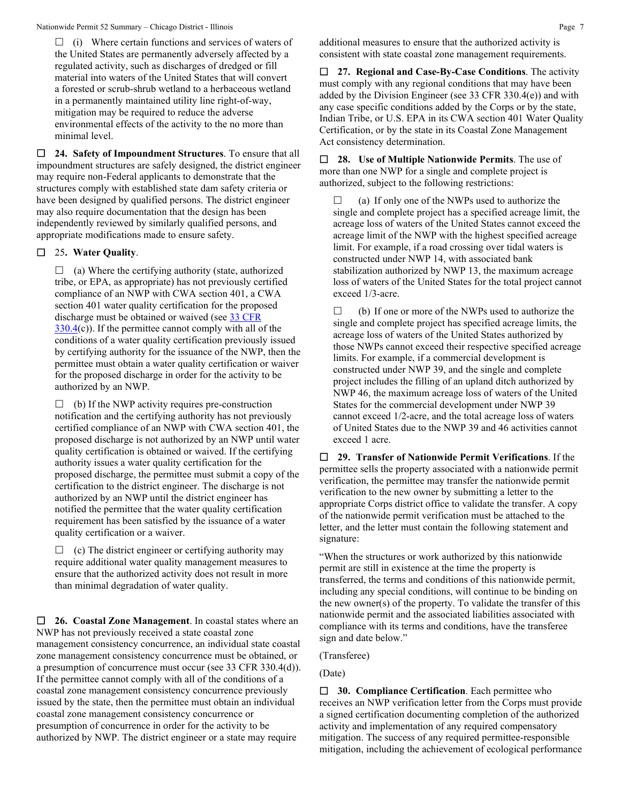$\Box$  (i) Where certain functions and services of waters of the United States are permanently adversely affected by a regulated activity, such as discharges of dredged or fill material into waters of the United States that will convert a forested or scrub-shrub wetland to a herbaceous wetland in a permanently maintained utility line right-of-way, mitigation may be required to reduce the adverse environmental effects of the activity to the no more than minimal level.

 **24. Safety of Impoundment Structures**. To ensure that all impoundment structures are safely designed, the district engineer may require non-Federal applicants to demonstrate that the structures comply with established state dam safety criteria or have been designed by qualified persons. The district engineer may also require documentation that the design has been independently reviewed by similarly qualified persons, and appropriate modifications made to ensure safety.

## 25**. Water Quality**.

 $\Box$  (a) Where the certifying authority (state, authorized tribe, or EPA, as appropriate) has not previously certified compliance of an NWP with CWA section 401, a CWA section 401 water quality certification for the proposed discharge must be obtained or waived (see 33 CFR  $330.4(c)$  $330.4(c)$ ). If the permittee cannot comply with all of the conditions of a water quality certification previously issued by certifying authority for the issuance of the NWP, then the permittee must obtain a water quality certification or waiver for the proposed discharge in order for the activity to be authorized by an NWP.

 $\Box$  (b) If the NWP activity requires pre-construction notification and the certifying authority has not previously certified compliance of an NWP with CWA section 401, the proposed discharge is not authorized by an NWP until water quality certification is obtained or waived. If the certifying authority issues a water quality certification for the proposed discharge, the permittee must submit a copy of the certification to the district engineer. The discharge is not authorized by an NWP until the district engineer has notified the permittee that the water quality certification requirement has been satisfied by the issuance of a water quality certification or a waiver.

 $\Box$  (c) The district engineer or certifying authority may require additional water quality management measures to ensure that the authorized activity does not result in more than minimal degradation of water quality.

 **26. Coastal Zone Management**. In coastal states where an NWP has not previously received a state coastal zone management consistency concurrence, an individual state coastal zone management consistency concurrence must be obtained, or a presumption of concurrence must occur (see 33 CFR 330.4(d)). If the permittee cannot comply with all of the conditions of a coastal zone management consistency concurrence previously issued by the state, then the permittee must obtain an individual coastal zone management consistency concurrence or presumption of concurrence in order for the activity to be authorized by NWP. The district engineer or a state may require

 **27. Regional and Case-By-Case Conditions**. The activity must comply with any regional conditions that may have been added by the Division Engineer (see 33 CFR 330.4(e)) and with any case specific conditions added by the Corps or by the state, Indian Tribe, or U.S. EPA in its CWA section 401 Water Quality Certification, or by the state in its Coastal Zone Management Act consistency determination.

 **28. Use of Multiple Nationwide Permits**. The use of more than one NWP for a single and complete project is authorized, subject to the following restrictions:

 $\Box$  (a) If only one of the NWPs used to authorize the single and complete project has a specified acreage limit, the acreage loss of waters of the United States cannot exceed the acreage limit of the NWP with the highest specified acreage limit. For example, if a road crossing over tidal waters is constructed under NWP 14, with associated bank stabilization authorized by NWP 13, the maximum acreage loss of waters of the United States for the total project cannot exceed 1/3-acre.

 $\Box$  (b) If one or more of the NWPs used to authorize the single and complete project has specified acreage limits, the acreage loss of waters of the United States authorized by those NWPs cannot exceed their respective specified acreage limits. For example, if a commercial development is constructed under NWP 39, and the single and complete project includes the filling of an upland ditch authorized by NWP 46, the maximum acreage loss of waters of the United States for the commercial development under NWP 39 cannot exceed 1/2-acre, and the total acreage loss of waters of United States due to the NWP 39 and 46 activities cannot exceed 1 acre.

 **29. Transfer of Nationwide Permit Verifications**. If the permittee sells the property associated with a nationwide permit verification, the permittee may transfer the nationwide permit verification to the new owner by submitting a letter to the appropriate Corps district office to validate the transfer. A copy of the nationwide permit verification must be attached to the letter, and the letter must contain the following statement and signature:

"When the structures or work authorized by this nationwide permit are still in existence at the time the property is transferred, the terms and conditions of this nationwide permit, including any special conditions, will continue to be binding on the new owner(s) of the property. To validate the transfer of this nationwide permit and the associated liabilities associated with compliance with its terms and conditions, have the transferee sign and date below."

(Transferee)

(Date)

 **30. Compliance Certification**. Each permittee who receives an NWP verification letter from the Corps must provide a signed certification documenting completion of the authorized activity and implementation of any required compensatory mitigation. The success of any required permittee-responsible mitigation, including the achievement of ecological performance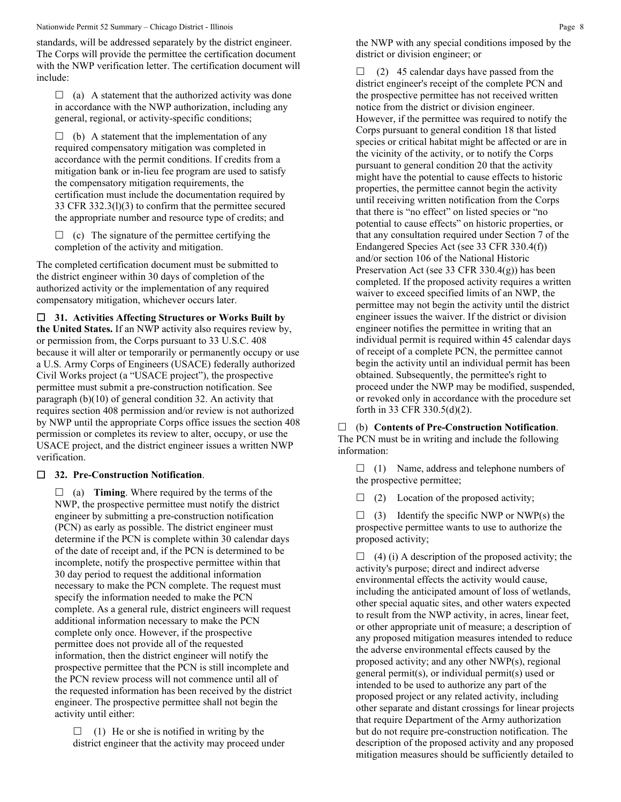Nationwide Permit 52 Summary – Chicago District - Illinois Page 8

standards, will be addressed separately by the district engineer. The Corps will provide the permittee the certification document with the NWP verification letter. The certification document will include:

 $\Box$  (a) A statement that the authorized activity was done in accordance with the NWP authorization, including any general, regional, or activity-specific conditions;

 $\Box$  (b) A statement that the implementation of any required compensatory mitigation was completed in accordance with the permit conditions. If credits from a mitigation bank or in-lieu fee program are used to satisfy the compensatory mitigation requirements, the certification must include the documentation required by 33 CFR 332.3(l)(3) to confirm that the permittee secured the appropriate number and resource type of credits; and

 $\Box$  (c) The signature of the permittee certifying the completion of the activity and mitigation.

The completed certification document must be submitted to the district engineer within 30 days of completion of the authorized activity or the implementation of any required compensatory mitigation, whichever occurs later.

**31. Activities Affecting Structures or Works Built by** 

**the United States.** If an NWP activity also requires review by, or permission from, the Corps pursuant to 33 U.S.C. 408 because it will alter or temporarily or permanently occupy or use a U.S. Army Corps of Engineers (USACE) federally authorized Civil Works project (a "USACE project"), the prospective permittee must submit a pre-construction notification. See paragraph (b)(10) of general condition 32. An activity that requires section 408 permission and/or review is not authorized by NWP until the appropriate Corps office issues the section 408 permission or completes its review to alter, occupy, or use the USACE project, and the district engineer issues a written NWP verification.

## **32. Pre-Construction Notification**.

 $\Box$  (a) **Timing**. Where required by the terms of the NWP, the prospective permittee must notify the district engineer by submitting a pre-construction notification (PCN) as early as possible. The district engineer must determine if the PCN is complete within 30 calendar days of the date of receipt and, if the PCN is determined to be incomplete, notify the prospective permittee within that 30 day period to request the additional information necessary to make the PCN complete. The request must specify the information needed to make the PCN complete. As a general rule, district engineers will request additional information necessary to make the PCN complete only once. However, if the prospective permittee does not provide all of the requested information, then the district engineer will notify the prospective permittee that the PCN is still incomplete and the PCN review process will not commence until all of the requested information has been received by the district engineer. The prospective permittee shall not begin the activity until either:

 $\Box$  (1) He or she is notified in writing by the district engineer that the activity may proceed under the NWP with any special conditions imposed by the district or division engineer; or

 $\Box$  (2) 45 calendar days have passed from the district engineer's receipt of the complete PCN and the prospective permittee has not received written notice from the district or division engineer. However, if the permittee was required to notify the Corps pursuant to general condition 18 that listed species or critical habitat might be affected or are in the vicinity of the activity, or to notify the Corps pursuant to general condition 20 that the activity might have the potential to cause effects to historic properties, the permittee cannot begin the activity until receiving written notification from the Corps that there is "no effect" on listed species or "no potential to cause effects" on historic properties, or that any consultation required under Section 7 of the Endangered Species Act (see 33 CFR 330.4(f)) and/or section 106 of the National Historic Preservation Act (see 33 CFR 330.4(g)) has been completed. If the proposed activity requires a written waiver to exceed specified limits of an NWP, the permittee may not begin the activity until the district engineer issues the waiver. If the district or division engineer notifies the permittee in writing that an individual permit is required within 45 calendar days of receipt of a complete PCN, the permittee cannot begin the activity until an individual permit has been obtained. Subsequently, the permittee's right to proceed under the NWP may be modified, suspended, or revoked only in accordance with the procedure set forth in 33 CFR 330.5(d)(2).

 (b) **Contents of Pre-Construction Notification**. The PCN must be in writing and include the following information:

 $\Box$  (1) Name, address and telephone numbers of the prospective permittee;

 $\Box$  (2) Location of the proposed activity;

 $\Box$  (3) Identify the specific NWP or NWP(s) the prospective permittee wants to use to authorize the proposed activity;

 $\Box$  (4) (i) A description of the proposed activity; the activity's purpose; direct and indirect adverse environmental effects the activity would cause, including the anticipated amount of loss of wetlands, other special aquatic sites, and other waters expected to result from the NWP activity, in acres, linear feet, or other appropriate unit of measure; a description of any proposed mitigation measures intended to reduce the adverse environmental effects caused by the proposed activity; and any other NWP(s), regional general permit(s), or individual permit(s) used or intended to be used to authorize any part of the proposed project or any related activity, including other separate and distant crossings for linear projects that require Department of the Army authorization but do not require pre-construction notification. The description of the proposed activity and any proposed mitigation measures should be sufficiently detailed to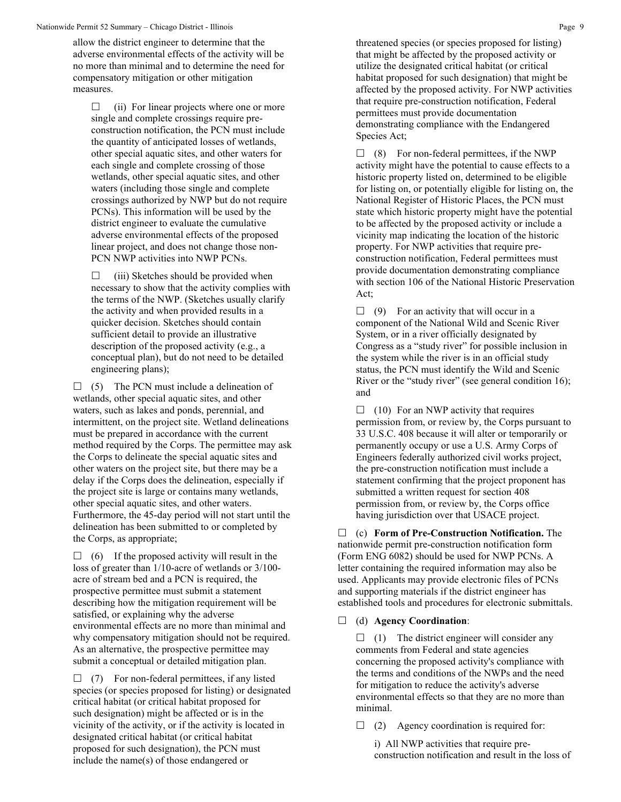allow the district engineer to determine that the adverse environmental effects of the activity will be no more than minimal and to determine the need for compensatory mitigation or other mitigation measures.

 $\Box$  (ii) For linear projects where one or more single and complete crossings require preconstruction notification, the PCN must include the quantity of anticipated losses of wetlands, other special aquatic sites, and other waters for each single and complete crossing of those wetlands, other special aquatic sites, and other waters (including those single and complete crossings authorized by NWP but do not require PCNs). This information will be used by the district engineer to evaluate the cumulative adverse environmental effects of the proposed linear project, and does not change those non-PCN NWP activities into NWP PCNs.

 $\Box$  (iii) Sketches should be provided when necessary to show that the activity complies with the terms of the NWP. (Sketches usually clarify the activity and when provided results in a quicker decision. Sketches should contain sufficient detail to provide an illustrative description of the proposed activity (e.g., a conceptual plan), but do not need to be detailed engineering plans);

 $\Box$  (5) The PCN must include a delineation of wetlands, other special aquatic sites, and other waters, such as lakes and ponds, perennial, and intermittent, on the project site. Wetland delineations must be prepared in accordance with the current method required by the Corps. The permittee may ask the Corps to delineate the special aquatic sites and other waters on the project site, but there may be a delay if the Corps does the delineation, especially if the project site is large or contains many wetlands, other special aquatic sites, and other waters. Furthermore, the 45-day period will not start until the delineation has been submitted to or completed by the Corps, as appropriate;

 $\Box$  (6) If the proposed activity will result in the loss of greater than 1/10-acre of wetlands or 3/100 acre of stream bed and a PCN is required, the prospective permittee must submit a statement describing how the mitigation requirement will be satisfied, or explaining why the adverse environmental effects are no more than minimal and why compensatory mitigation should not be required. As an alternative, the prospective permittee may submit a conceptual or detailed mitigation plan.

 $\Box$  (7) For non-federal permittees, if any listed species (or species proposed for listing) or designated critical habitat (or critical habitat proposed for such designation) might be affected or is in the vicinity of the activity, or if the activity is located in designated critical habitat (or critical habitat proposed for such designation), the PCN must include the name(s) of those endangered or

threatened species (or species proposed for listing) that might be affected by the proposed activity or utilize the designated critical habitat (or critical habitat proposed for such designation) that might be affected by the proposed activity. For NWP activities that require pre-construction notification, Federal permittees must provide documentation demonstrating compliance with the Endangered Species Act;

 $\Box$  (8) For non-federal permittees, if the NWP activity might have the potential to cause effects to a historic property listed on, determined to be eligible for listing on, or potentially eligible for listing on, the National Register of Historic Places, the PCN must state which historic property might have the potential to be affected by the proposed activity or include a vicinity map indicating the location of the historic property. For NWP activities that require preconstruction notification, Federal permittees must provide documentation demonstrating compliance with section 106 of the National Historic Preservation Act;

 $\Box$  (9) For an activity that will occur in a component of the National Wild and Scenic River System, or in a river officially designated by Congress as a "study river" for possible inclusion in the system while the river is in an official study status, the PCN must identify the Wild and Scenic River or the "study river" (see general condition 16); and

 $\Box$  (10) For an NWP activity that requires permission from, or review by, the Corps pursuant to 33 U.S.C. 408 because it will alter or temporarily or permanently occupy or use a U.S. Army Corps of Engineers federally authorized civil works project, the pre-construction notification must include a statement confirming that the project proponent has submitted a written request for section 408 permission from, or review by, the Corps office having jurisdiction over that USACE project.

 (c) **Form of Pre-Construction Notification.** The nationwide permit pre-construction notification form (Form ENG 6082) should be used for NWP PCNs. A letter containing the required information may also be used. Applicants may provide electronic files of PCNs and supporting materials if the district engineer has established tools and procedures for electronic submittals.

## (d) **Agency Coordination**:

 $\Box$  (1) The district engineer will consider any comments from Federal and state agencies concerning the proposed activity's compliance with the terms and conditions of the NWPs and the need for mitigation to reduce the activity's adverse environmental effects so that they are no more than minimal.

 $\Box$  (2) Agency coordination is required for:

i) All NWP activities that require preconstruction notification and result in the loss of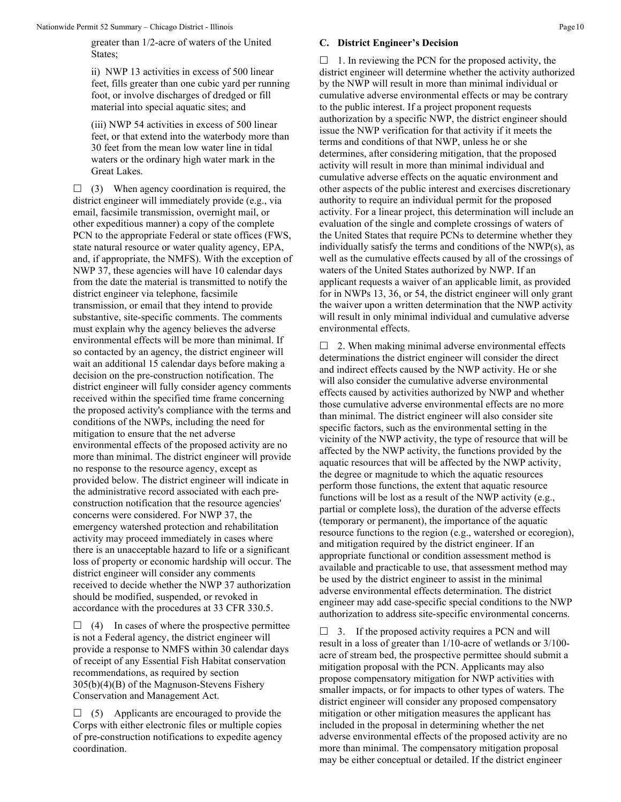greater than 1/2-acre of waters of the United States;

ii) NWP 13 activities in excess of 500 linear feet, fills greater than one cubic yard per running foot, or involve discharges of dredged or fill material into special aquatic sites; and

(iii) NWP 54 activities in excess of 500 linear feet, or that extend into the waterbody more than 30 feet from the mean low water line in tidal waters or the ordinary high water mark in the Great Lakes.

 $\Box$  (3) When agency coordination is required, the district engineer will immediately provide (e.g., via email, facsimile transmission, overnight mail, or other expeditious manner) a copy of the complete PCN to the appropriate Federal or state offices (FWS, state natural resource or water quality agency, EPA, and, if appropriate, the NMFS). With the exception of NWP 37, these agencies will have 10 calendar days from the date the material is transmitted to notify the district engineer via telephone, facsimile transmission, or email that they intend to provide substantive, site-specific comments. The comments must explain why the agency believes the adverse environmental effects will be more than minimal. If so contacted by an agency, the district engineer will wait an additional 15 calendar days before making a decision on the pre-construction notification. The district engineer will fully consider agency comments received within the specified time frame concerning the proposed activity's compliance with the terms and conditions of the NWPs, including the need for mitigation to ensure that the net adverse environmental effects of the proposed activity are no more than minimal. The district engineer will provide no response to the resource agency, except as provided below. The district engineer will indicate in the administrative record associated with each preconstruction notification that the resource agencies' concerns were considered. For NWP 37, the emergency watershed protection and rehabilitation activity may proceed immediately in cases where there is an unacceptable hazard to life or a significant loss of property or economic hardship will occur. The district engineer will consider any comments received to decide whether the NWP 37 authorization should be modified, suspended, or revoked in accordance with the procedures at 33 CFR 330.5.

 $\Box$  (4) In cases of where the prospective permittee is not a Federal agency, the district engineer will provide a response to NMFS within 30 calendar days of receipt of any Essential Fish Habitat conservation recommendations, as required by section 305(b)(4)(B) of the Magnuson-Stevens Fishery Conservation and Management Act.

 $\Box$  (5) Applicants are encouraged to provide the Corps with either electronic files or multiple copies of pre-construction notifications to expedite agency coordination.

#### **C. District Engineer's Decision**

 $\Box$  1. In reviewing the PCN for the proposed activity, the district engineer will determine whether the activity authorized by the NWP will result in more than minimal individual or cumulative adverse environmental effects or may be contrary to the public interest. If a project proponent requests authorization by a specific NWP, the district engineer should issue the NWP verification for that activity if it meets the terms and conditions of that NWP, unless he or she determines, after considering mitigation, that the proposed activity will result in more than minimal individual and cumulative adverse effects on the aquatic environment and other aspects of the public interest and exercises discretionary authority to require an individual permit for the proposed activity. For a linear project, this determination will include an evaluation of the single and complete crossings of waters of the United States that require PCNs to determine whether they individually satisfy the terms and conditions of the NWP(s), as well as the cumulative effects caused by all of the crossings of waters of the United States authorized by NWP. If an applicant requests a waiver of an applicable limit, as provided for in NWPs 13, 36, or 54, the district engineer will only grant the waiver upon a written determination that the NWP activity will result in only minimal individual and cumulative adverse environmental effects.

 $\Box$  2. When making minimal adverse environmental effects determinations the district engineer will consider the direct and indirect effects caused by the NWP activity. He or she will also consider the cumulative adverse environmental effects caused by activities authorized by NWP and whether those cumulative adverse environmental effects are no more than minimal. The district engineer will also consider site specific factors, such as the environmental setting in the vicinity of the NWP activity, the type of resource that will be affected by the NWP activity, the functions provided by the aquatic resources that will be affected by the NWP activity, the degree or magnitude to which the aquatic resources perform those functions, the extent that aquatic resource functions will be lost as a result of the NWP activity (e.g., partial or complete loss), the duration of the adverse effects (temporary or permanent), the importance of the aquatic resource functions to the region (e.g., watershed or ecoregion), and mitigation required by the district engineer. If an appropriate functional or condition assessment method is available and practicable to use, that assessment method may be used by the district engineer to assist in the minimal adverse environmental effects determination. The district engineer may add case-specific special conditions to the NWP authorization to address site-specific environmental concerns.

 $\Box$  3. If the proposed activity requires a PCN and will result in a loss of greater than 1/10-acre of wetlands or 3/100 acre of stream bed, the prospective permittee should submit a mitigation proposal with the PCN. Applicants may also propose compensatory mitigation for NWP activities with smaller impacts, or for impacts to other types of waters. The district engineer will consider any proposed compensatory mitigation or other mitigation measures the applicant has included in the proposal in determining whether the net adverse environmental effects of the proposed activity are no more than minimal. The compensatory mitigation proposal may be either conceptual or detailed. If the district engineer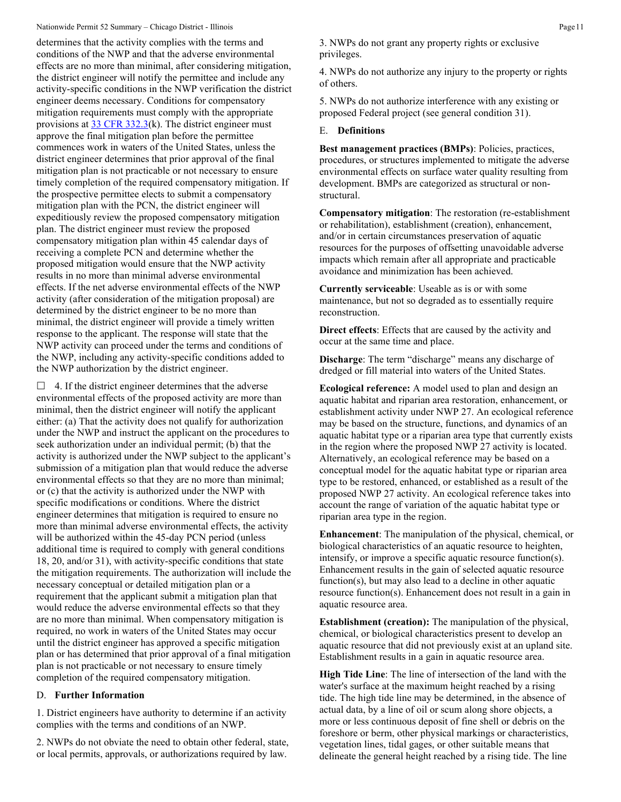## Nationwide Permit 52 Summary – Chicago District - Illinois Page 11

determines that the activity complies with the terms and conditions of the NWP and that the adverse environmental effects are no more than minimal, after considering mitigation, the district engineer will notify the permittee and include any activity-specific conditions in the NWP verification the district engineer deems necessary. Conditions for compensatory mitigation requirements must comply with the appropriate provisions at  $33 \text{ CFR } 332.3(k)$ . The district engineer must approve the final mitigation plan before the permittee commences work in waters of the United States, unless the district engineer determines that prior approval of the final mitigation plan is not practicable or not necessary to ensure timely completion of the required compensatory mitigation. If the prospective permittee elects to submit a compensatory mitigation plan with the PCN, the district engineer will expeditiously review the proposed compensatory mitigation plan. The district engineer must review the proposed compensatory mitigation plan within 45 calendar days of receiving a complete PCN and determine whether the proposed mitigation would ensure that the NWP activity results in no more than minimal adverse environmental effects. If the net adverse environmental effects of the NWP activity (after consideration of the mitigation proposal) are determined by the district engineer to be no more than minimal, the district engineer will provide a timely written response to the applicant. The response will state that the NWP activity can proceed under the terms and conditions of the NWP, including any activity-specific conditions added to the NWP authorization by the district engineer.

 $\Box$  4. If the district engineer determines that the adverse environmental effects of the proposed activity are more than minimal, then the district engineer will notify the applicant either: (a) That the activity does not qualify for authorization under the NWP and instruct the applicant on the procedures to seek authorization under an individual permit; (b) that the activity is authorized under the NWP subject to the applicant's submission of a mitigation plan that would reduce the adverse environmental effects so that they are no more than minimal; or (c) that the activity is authorized under the NWP with specific modifications or conditions. Where the district engineer determines that mitigation is required to ensure no more than minimal adverse environmental effects, the activity will be authorized within the 45-day PCN period (unless additional time is required to comply with general conditions 18, 20, and/or 31), with activity-specific conditions that state the mitigation requirements. The authorization will include the necessary conceptual or detailed mitigation plan or a requirement that the applicant submit a mitigation plan that would reduce the adverse environmental effects so that they are no more than minimal. When compensatory mitigation is required, no work in waters of the United States may occur until the district engineer has approved a specific mitigation plan or has determined that prior approval of a final mitigation plan is not practicable or not necessary to ensure timely completion of the required compensatory mitigation.

## D. **Further Information**

1. District engineers have authority to determine if an activity complies with the terms and conditions of an NWP.

2. NWPs do not obviate the need to obtain other federal, state, or local permits, approvals, or authorizations required by law.

3. NWPs do not grant any property rights or exclusive privileges.

4. NWPs do not authorize any injury to the property or rights of others.

5. NWPs do not authorize interference with any existing or proposed Federal project (see general condition 31).

#### E. **Definitions**

**Best management practices (BMPs)**: Policies, practices, procedures, or structures implemented to mitigate the adverse environmental effects on surface water quality resulting from development. BMPs are categorized as structural or nonstructural.

**Compensatory mitigation**: The restoration (re-establishment or rehabilitation), establishment (creation), enhancement, and/or in certain circumstances preservation of aquatic resources for the purposes of offsetting unavoidable adverse impacts which remain after all appropriate and practicable avoidance and minimization has been achieved.

**Currently serviceable**: Useable as is or with some maintenance, but not so degraded as to essentially require reconstruction.

**Direct effects**: Effects that are caused by the activity and occur at the same time and place.

**Discharge**: The term "discharge" means any discharge of dredged or fill material into waters of the United States.

**Ecological reference:** A model used to plan and design an aquatic habitat and riparian area restoration, enhancement, or establishment activity under NWP 27. An ecological reference may be based on the structure, functions, and dynamics of an aquatic habitat type or a riparian area type that currently exists in the region where the proposed NWP 27 activity is located. Alternatively, an ecological reference may be based on a conceptual model for the aquatic habitat type or riparian area type to be restored, enhanced, or established as a result of the proposed NWP 27 activity. An ecological reference takes into account the range of variation of the aquatic habitat type or riparian area type in the region.

**Enhancement**: The manipulation of the physical, chemical, or biological characteristics of an aquatic resource to heighten, intensify, or improve a specific aquatic resource function(s). Enhancement results in the gain of selected aquatic resource function(s), but may also lead to a decline in other aquatic resource function(s). Enhancement does not result in a gain in aquatic resource area.

**Establishment (creation):** The manipulation of the physical, chemical, or biological characteristics present to develop an aquatic resource that did not previously exist at an upland site. Establishment results in a gain in aquatic resource area.

**High Tide Line**: The line of intersection of the land with the water's surface at the maximum height reached by a rising tide. The high tide line may be determined, in the absence of actual data, by a line of oil or scum along shore objects, a more or less continuous deposit of fine shell or debris on the foreshore or berm, other physical markings or characteristics, vegetation lines, tidal gages, or other suitable means that delineate the general height reached by a rising tide. The line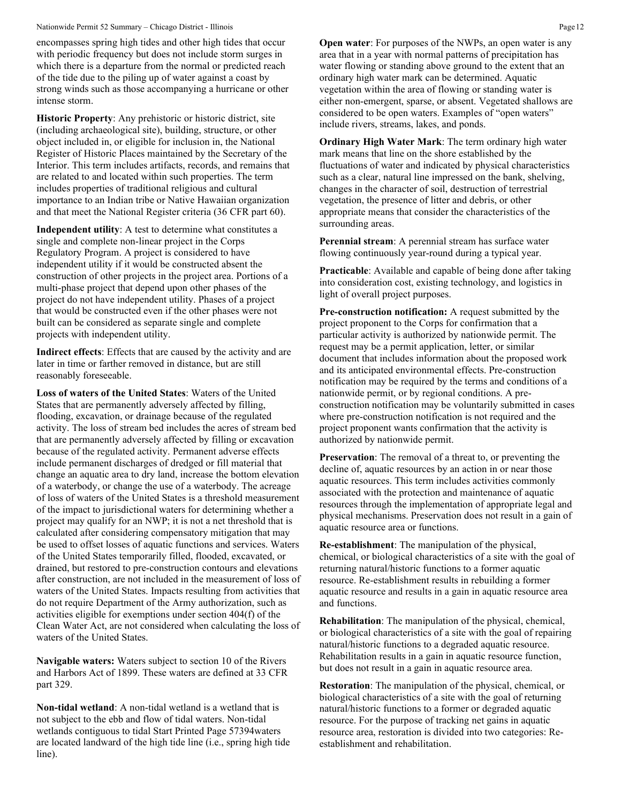#### Nationwide Permit 52 Summary – Chicago District - Illinois Page 12

encompasses spring high tides and other high tides that occur with periodic frequency but does not include storm surges in which there is a departure from the normal or predicted reach of the tide due to the piling up of water against a coast by strong winds such as those accompanying a hurricane or other intense storm.

**Historic Property**: Any prehistoric or historic district, site (including archaeological site), building, structure, or other object included in, or eligible for inclusion in, the National Register of Historic Places maintained by the Secretary of the Interior. This term includes artifacts, records, and remains that are related to and located within such properties. The term includes properties of traditional religious and cultural importance to an Indian tribe or Native Hawaiian organization and that meet the National Register criteria (36 CFR part 60).

**Independent utility**: A test to determine what constitutes a single and complete non-linear project in the Corps Regulatory Program. A project is considered to have independent utility if it would be constructed absent the construction of other projects in the project area. Portions of a multi-phase project that depend upon other phases of the project do not have independent utility. Phases of a project that would be constructed even if the other phases were not built can be considered as separate single and complete projects with independent utility.

**Indirect effects**: Effects that are caused by the activity and are later in time or farther removed in distance, but are still reasonably foreseeable.

**Loss of waters of the United States**: Waters of the United States that are permanently adversely affected by filling, flooding, excavation, or drainage because of the regulated activity. The loss of stream bed includes the acres of stream bed that are permanently adversely affected by filling or excavation because of the regulated activity. Permanent adverse effects include permanent discharges of dredged or fill material that change an aquatic area to dry land, increase the bottom elevation of a waterbody, or change the use of a waterbody. The acreage of loss of waters of the United States is a threshold measurement of the impact to jurisdictional waters for determining whether a project may qualify for an NWP; it is not a net threshold that is calculated after considering compensatory mitigation that may be used to offset losses of aquatic functions and services. Waters of the United States temporarily filled, flooded, excavated, or drained, but restored to pre-construction contours and elevations after construction, are not included in the measurement of loss of waters of the United States. Impacts resulting from activities that do not require Department of the Army authorization, such as activities eligible for exemptions under section 404(f) of the Clean Water Act, are not considered when calculating the loss of waters of the United States.

**Navigable waters:** Waters subject to section 10 of the Rivers and Harbors Act of 1899. These waters are defined at 33 CFR part 329.

**Non-tidal wetland**: A non-tidal wetland is a wetland that is not subject to the ebb and flow of tidal waters. Non-tidal wetlands contiguous to tidal Start Printed Page 57394waters are located landward of the high tide line (i.e., spring high tide line).

**Open water**: For purposes of the NWPs, an open water is any area that in a year with normal patterns of precipitation has water flowing or standing above ground to the extent that an ordinary high water mark can be determined. Aquatic vegetation within the area of flowing or standing water is either non-emergent, sparse, or absent. Vegetated shallows are considered to be open waters. Examples of "open waters" include rivers, streams, lakes, and ponds.

**Ordinary High Water Mark**: The term ordinary high water mark means that line on the shore established by the fluctuations of water and indicated by physical characteristics such as a clear, natural line impressed on the bank, shelving, changes in the character of soil, destruction of terrestrial vegetation, the presence of litter and debris, or other appropriate means that consider the characteristics of the surrounding areas.

**Perennial stream**: A perennial stream has surface water flowing continuously year-round during a typical year.

**Practicable**: Available and capable of being done after taking into consideration cost, existing technology, and logistics in light of overall project purposes.

**Pre-construction notification:** A request submitted by the project proponent to the Corps for confirmation that a particular activity is authorized by nationwide permit. The request may be a permit application, letter, or similar document that includes information about the proposed work and its anticipated environmental effects. Pre-construction notification may be required by the terms and conditions of a nationwide permit, or by regional conditions. A preconstruction notification may be voluntarily submitted in cases where pre-construction notification is not required and the project proponent wants confirmation that the activity is authorized by nationwide permit.

**Preservation**: The removal of a threat to, or preventing the decline of, aquatic resources by an action in or near those aquatic resources. This term includes activities commonly associated with the protection and maintenance of aquatic resources through the implementation of appropriate legal and physical mechanisms. Preservation does not result in a gain of aquatic resource area or functions.

**Re-establishment**: The manipulation of the physical, chemical, or biological characteristics of a site with the goal of returning natural/historic functions to a former aquatic resource. Re-establishment results in rebuilding a former aquatic resource and results in a gain in aquatic resource area and functions.

**Rehabilitation**: The manipulation of the physical, chemical, or biological characteristics of a site with the goal of repairing natural/historic functions to a degraded aquatic resource. Rehabilitation results in a gain in aquatic resource function, but does not result in a gain in aquatic resource area.

**Restoration**: The manipulation of the physical, chemical, or biological characteristics of a site with the goal of returning natural/historic functions to a former or degraded aquatic resource. For the purpose of tracking net gains in aquatic resource area, restoration is divided into two categories: Reestablishment and rehabilitation.